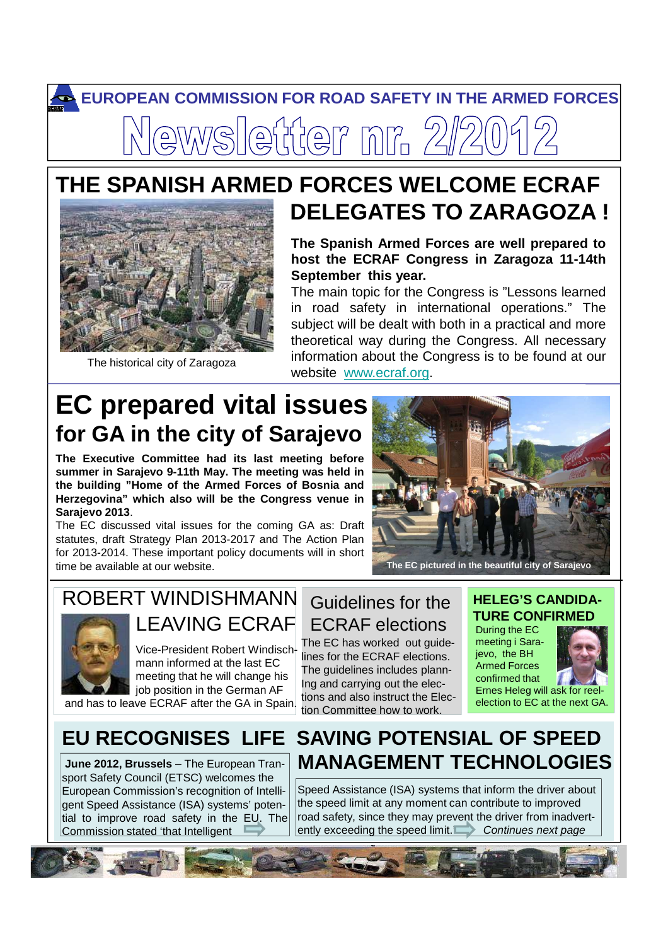# **EUROPEAN COMMISSION FOR ROAD SAFETY IN THE ARMED FORCES** sletter nr. 2

## **THE SPANISH ARMED FORCES WELCOME ECRAF DELEGATES TO ZARAGOZA !**



The historical city of Zaragoza

#### **The Spanish Armed Forces are well prepared to host the ECRAF Congress in Zaragoza 11-14th September this year.**

The main topic for the Congress is "Lessons learned in road safety in international operations." The subject will be dealt with both in a practical and more theoretical way during the Congress. All necessary information about the Congress is to be found at our website www.ecraf.org.

# **EC prepared vital issues for GA in the city of Sarajevo**

**The Executive Committee had its last meeting before summer in Sarajevo 9-11th May. The meeting was held in the building "Home of the Armed Forces of Bosnia and Herzegovina" which also will be the Congress venue in Sarajevo 2013**.

The EC discussed vital issues for the coming GA as: Draft statutes, draft Strategy Plan 2013-2017 and The Action Plan for 2013-2014. These important policy documents will in short time be available at our website.



### ROBERT WINDISHMANN LEAVING ECRAF



Vice-President Robert Windischmann informed at the last EC meeting that he will change his job position in the German AF

and has to leave ECRAF after the GA in Spain.

Guidelines for the ECRAF elections The EC has worked out guide-

lines for the ECRAF elections. The guidelines includes plann-Ing and carrying out the elections and also instruct the Election Committee how to work.

#### **HELEG'S CANDIDA-TURE CONFIRMED**

Ernes Heleg will ask for reel-<br>election to EC at the next GA. During the EC meeting i Sarajevo, the BH Armed Forces confirmed that Ernes Heleg will ask for reel-



### **EU RECOGNISES LIFE SAVING POTENSIAL OF SPEED June 2012, Brussels** – The European Tran- **MANAGEMENT TECHNOLOGIES**

sport Safety Council (ETSC) welcomes the European Commission's recognition of Intelligent Speed Assistance (ISA) systems' potential to improve road safety in the EU. The Commission stated 'that Intelligent

Speed Assistance (ISA) systems that inform the driver about the speed limit at any moment can contribute to improved road safety, since they may prevent the driver from inadvertently exceeding the speed limit. Continues next page